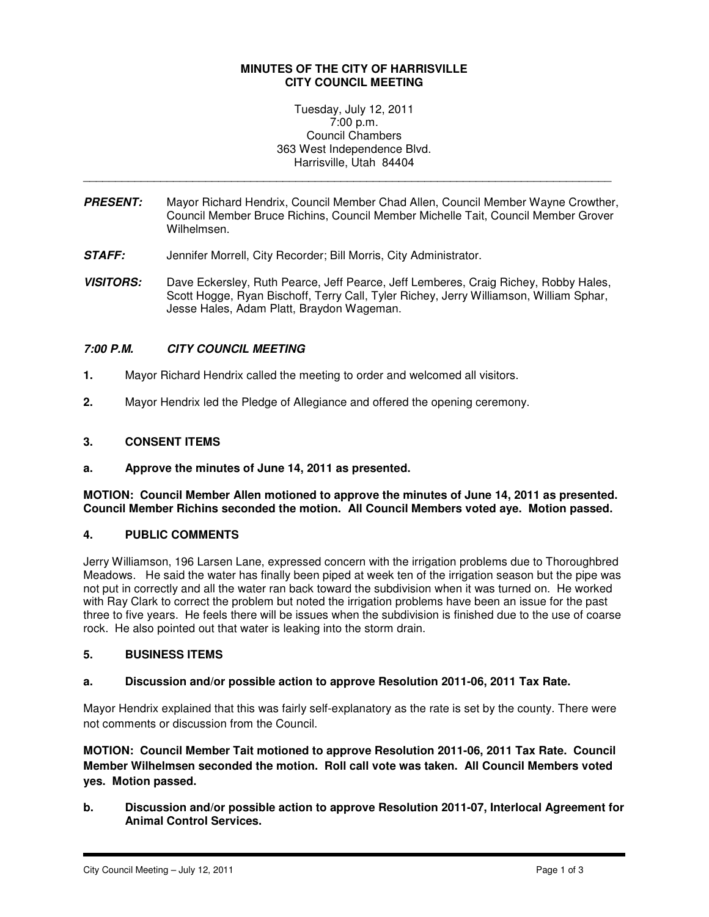## **MINUTES OF THE CITY OF HARRISVILLE CITY COUNCIL MEETING**

Tuesday, July 12, 2011 7:00 p.m. Council Chambers 363 West Independence Blvd. Harrisville, Utah 84404

**PRESENT:** Mayor Richard Hendrix, Council Member Chad Allen, Council Member Wayne Crowther, Council Member Bruce Richins, Council Member Michelle Tait, Council Member Grover Wilhelmsen.

\_\_\_\_\_\_\_\_\_\_\_\_\_\_\_\_\_\_\_\_\_\_\_\_\_\_\_\_\_\_\_\_\_\_\_\_\_\_\_\_\_\_\_\_\_\_\_\_\_\_\_\_\_\_\_\_\_\_\_\_\_\_\_\_\_\_\_\_\_\_\_\_\_\_\_\_\_\_\_\_\_\_

- **STAFF:** Jennifer Morrell, City Recorder; Bill Morris, City Administrator.
- **VISITORS:** Dave Eckersley, Ruth Pearce, Jeff Pearce, Jeff Lemberes, Craig Richey, Robby Hales, Scott Hogge, Ryan Bischoff, Terry Call, Tyler Richey, Jerry Williamson, William Sphar, Jesse Hales, Adam Platt, Braydon Wageman.

# **7:00 P.M. CITY COUNCIL MEETING**

- **1.** Mayor Richard Hendrix called the meeting to order and welcomed all visitors.
- **2.** Mayor Hendrix led the Pledge of Allegiance and offered the opening ceremony.

### **3. CONSENT ITEMS**

**a. Approve the minutes of June 14, 2011 as presented.** 

**MOTION: Council Member Allen motioned to approve the minutes of June 14, 2011 as presented. Council Member Richins seconded the motion. All Council Members voted aye. Motion passed.** 

### **4. PUBLIC COMMENTS**

Jerry Williamson, 196 Larsen Lane, expressed concern with the irrigation problems due to Thoroughbred Meadows. He said the water has finally been piped at week ten of the irrigation season but the pipe was not put in correctly and all the water ran back toward the subdivision when it was turned on. He worked with Ray Clark to correct the problem but noted the irrigation problems have been an issue for the past three to five years. He feels there will be issues when the subdivision is finished due to the use of coarse rock. He also pointed out that water is leaking into the storm drain.

### **5. BUSINESS ITEMS**

### **a. Discussion and/or possible action to approve Resolution 2011-06, 2011 Tax Rate.**

Mayor Hendrix explained that this was fairly self-explanatory as the rate is set by the county. There were not comments or discussion from the Council.

**MOTION: Council Member Tait motioned to approve Resolution 2011-06, 2011 Tax Rate. Council Member Wilhelmsen seconded the motion. Roll call vote was taken. All Council Members voted yes. Motion passed.** 

**b. Discussion and/or possible action to approve Resolution 2011-07, Interlocal Agreement for Animal Control Services.**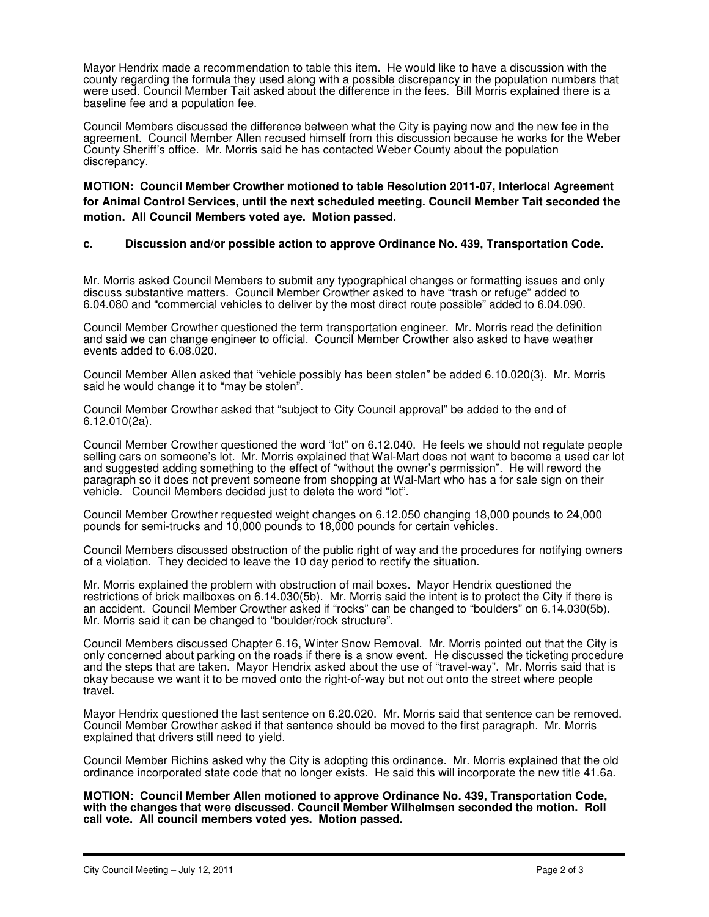Mayor Hendrix made a recommendation to table this item. He would like to have a discussion with the county regarding the formula they used along with a possible discrepancy in the population numbers that were used. Council Member Tait asked about the difference in the fees. Bill Morris explained there is a baseline fee and a population fee.

Council Members discussed the difference between what the City is paying now and the new fee in the agreement. Council Member Allen recused himself from this discussion because he works for the Weber County Sheriff's office. Mr. Morris said he has contacted Weber County about the population discrepancy.

**MOTION: Council Member Crowther motioned to table Resolution 2011-07, Interlocal Agreement for Animal Control Services, until the next scheduled meeting. Council Member Tait seconded the motion. All Council Members voted aye. Motion passed.** 

# **c. Discussion and/or possible action to approve Ordinance No. 439, Transportation Code.**

Mr. Morris asked Council Members to submit any typographical changes or formatting issues and only discuss substantive matters. Council Member Crowther asked to have "trash or refuge" added to 6.04.080 and "commercial vehicles to deliver by the most direct route possible" added to 6.04.090.

Council Member Crowther questioned the term transportation engineer. Mr. Morris read the definition and said we can change engineer to official. Council Member Crowther also asked to have weather events added to 6.08.020.

Council Member Allen asked that "vehicle possibly has been stolen" be added 6.10.020(3). Mr. Morris said he would change it to "may be stolen".

Council Member Crowther asked that "subject to City Council approval" be added to the end of 6.12.010(2a).

Council Member Crowther questioned the word "lot" on 6.12.040. He feels we should not regulate people selling cars on someone's lot. Mr. Morris explained that Wal-Mart does not want to become a used car lot and suggested adding something to the effect of "without the owner's permission". He will reword the paragraph so it does not prevent someone from shopping at Wal-Mart who has a for sale sign on their vehicle. Council Members decided just to delete the word "lot".

Council Member Crowther requested weight changes on 6.12.050 changing 18,000 pounds to 24,000 pounds for semi-trucks and 10,000 pounds to 18,000 pounds for certain vehicles.

Council Members discussed obstruction of the public right of way and the procedures for notifying owners of a violation. They decided to leave the 10 day period to rectify the situation.

Mr. Morris explained the problem with obstruction of mail boxes. Mayor Hendrix questioned the restrictions of brick mailboxes on 6.14.030(5b). Mr. Morris said the intent is to protect the City if there is an accident. Council Member Crowther asked if "rocks" can be changed to "boulders" on 6.14.030(5b). Mr. Morris said it can be changed to "boulder/rock structure".

Council Members discussed Chapter 6.16, Winter Snow Removal. Mr. Morris pointed out that the City is only concerned about parking on the roads if there is a snow event. He discussed the ticketing procedure and the steps that are taken. Mayor Hendrix asked about the use of "travel-way". Mr. Morris said that is okay because we want it to be moved onto the right-of-way but not out onto the street where people travel.

Mayor Hendrix questioned the last sentence on 6.20.020. Mr. Morris said that sentence can be removed. Council Member Crowther asked if that sentence should be moved to the first paragraph. Mr. Morris explained that drivers still need to yield.

Council Member Richins asked why the City is adopting this ordinance. Mr. Morris explained that the old ordinance incorporated state code that no longer exists. He said this will incorporate the new title 41.6a.

**MOTION: Council Member Allen motioned to approve Ordinance No. 439, Transportation Code,**  with the changes that were discussed. Council Member Wilhelmsen seconded the motion. Roll **call vote. All council members voted yes. Motion passed.**